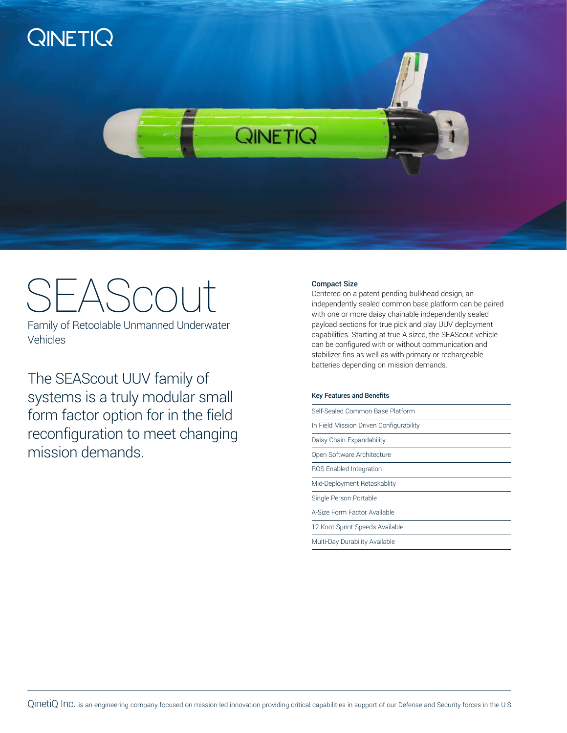

# SEAScout Compact Size<br>
Compact Size<br>
Compact Size<br>
Compact Size

Family of Retoolable Unmanned Underwater Vehicles

The SEAScout UUV family of systems is a truly modular small form factor option for in the field reconfiguration to meet changing mission demands.

Centered on a patent pending bulkhead design, an independently sealed common base platform can be paired with one or more daisy chainable independently sealed payload sections for true pick and play UUV deployment capabilities. Starting at true A sized, the SEAScout vehicle can be configured with or without communication and stabilizer fins as well as with primary or rechargeable batteries depending on mission demands.

#### Key Features and Benefits

Self-Sealed Common Base Platform

In Field Mission Driven Configurability

Daisy Chain Expandability

Open Software Architecture

ROS Enabled Integration

Mid-Deployment Retaskablity

Single Person Portable

A-Size Form Factor Available

12 Knot Sprint Speeds Available

Multi-Day Durability Available